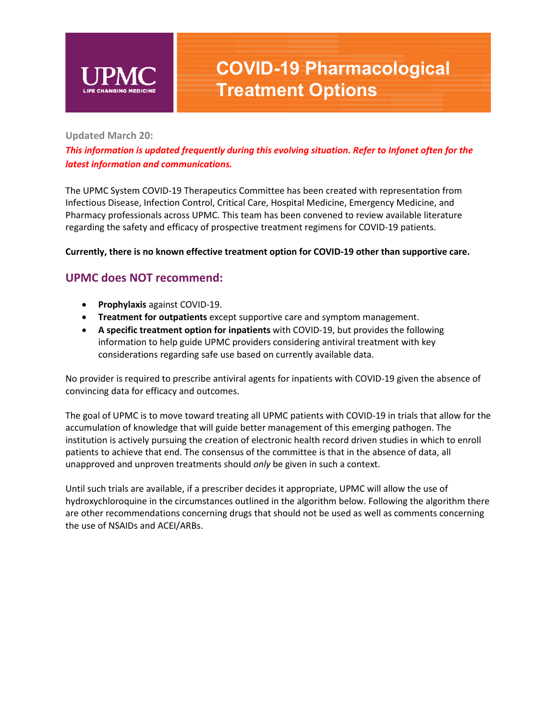

# **COVID-19 Pharmacological Treatment Options**

## **Updated March 20:**

*This information is updated frequently during this evolving situation. Refer to Infonet often for the latest information and communications.*

The UPMC System COVID-19 Therapeutics Committee has been created with representation from Infectious Disease, Infection Control, Critical Care, Hospital Medicine, Emergency Medicine, and Pharmacy professionals across UPMC. This team has been convened to review available literature regarding the safety and efficacy of prospective treatment regimens for COVID-19 patients.

## **Currently, there is no known effective treatment option for COVID-19 other than supportive care.**

## **UPMC does NOT recommend:**

- **Prophylaxis** against COVID-19.
- **Treatment for outpatients** except supportive care and symptom management.
- **A specific treatment option for inpatients** with COVID-19, but provides the following information to help guide UPMC providers considering antiviral treatment with key considerations regarding safe use based on currently available data.

No provider is required to prescribe antiviral agents for inpatients with COVID-19 given the absence of convincing data for efficacy and outcomes.

The goal of UPMC is to move toward treating all UPMC patients with COVID-19 in trials that allow for the accumulation of knowledge that will guide better management of this emerging pathogen. The institution is actively pursuing the creation of electronic health record driven studies in which to enroll patients to achieve that end. The consensus of the committee is that in the absence of data, all unapproved and unproven treatments should *only* be given in such a context.

Until such trials are available, if a prescriber decides it appropriate, UPMC will allow the use of hydroxychloroquine in the circumstances outlined in the algorithm below. Following the algorithm there are other recommendations concerning drugs that should not be used as well as comments concerning the use of NSAIDs and ACEI/ARBs.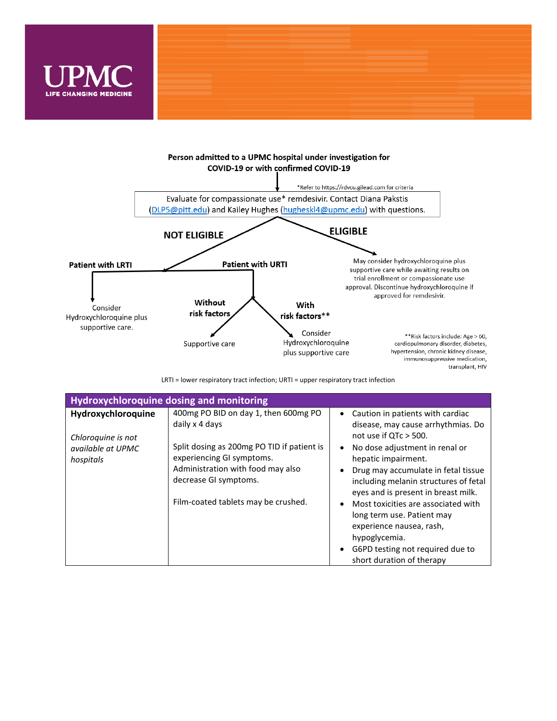



LRTI = lower respiratory tract infection; URTI = upper respiratory tract infection

| <b>Hydroxychloroquine dosing and monitoring</b>                            |                                                                                                                                                                                                 |                                                                                                                                                                                                                                                                                    |
|----------------------------------------------------------------------------|-------------------------------------------------------------------------------------------------------------------------------------------------------------------------------------------------|------------------------------------------------------------------------------------------------------------------------------------------------------------------------------------------------------------------------------------------------------------------------------------|
| Hydroxychloroquine<br>Chloroquine is not<br>available at UPMC<br>hospitals | 400mg PO BID on day 1, then 600mg PO<br>daily x 4 days<br>Split dosing as 200mg PO TID if patient is<br>experiencing GI symptoms.<br>Administration with food may also<br>decrease GI symptoms. | Caution in patients with cardiac<br>$\bullet$<br>disease, may cause arrhythmias. Do<br>not use if $QTc > 500$ .<br>No dose adjustment in renal or<br>$\bullet$<br>hepatic impairment.<br>Drug may accumulate in fetal tissue<br>$\bullet$<br>including melanin structures of fetal |
|                                                                            | Film-coated tablets may be crushed.                                                                                                                                                             | eyes and is present in breast milk.<br>Most toxicities are associated with<br>$\bullet$<br>long term use. Patient may<br>experience nausea, rash,<br>hypoglycemia.<br>G6PD testing not required due to<br>$\bullet$<br>short duration of therapy                                   |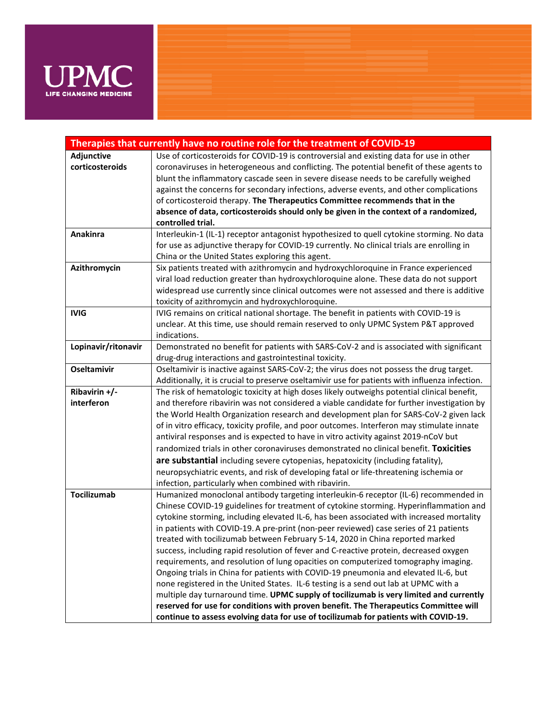

| Therapies that currently have no routine role for the treatment of COVID-19 |                                                                                                |  |
|-----------------------------------------------------------------------------|------------------------------------------------------------------------------------------------|--|
| Adjunctive                                                                  | Use of corticosteroids for COVID-19 is controversial and existing data for use in other        |  |
| corticosteroids                                                             | coronaviruses in heterogeneous and conflicting. The potential benefit of these agents to       |  |
|                                                                             | blunt the inflammatory cascade seen in severe disease needs to be carefully weighed            |  |
|                                                                             | against the concerns for secondary infections, adverse events, and other complications         |  |
|                                                                             | of corticosteroid therapy. The Therapeutics Committee recommends that in the                   |  |
|                                                                             | absence of data, corticosteroids should only be given in the context of a randomized,          |  |
|                                                                             | controlled trial.                                                                              |  |
| Anakinra                                                                    | Interleukin-1 (IL-1) receptor antagonist hypothesized to quell cytokine storming. No data      |  |
|                                                                             | for use as adjunctive therapy for COVID-19 currently. No clinical trials are enrolling in      |  |
|                                                                             | China or the United States exploring this agent.                                               |  |
| Azithromycin                                                                | Six patients treated with azithromycin and hydroxychloroquine in France experienced            |  |
|                                                                             | viral load reduction greater than hydroxychloroquine alone. These data do not support          |  |
|                                                                             | widespread use currently since clinical outcomes were not assessed and there is additive       |  |
|                                                                             | toxicity of azithromycin and hydroxychloroquine.                                               |  |
| <b>IVIG</b>                                                                 | IVIG remains on critical national shortage. The benefit in patients with COVID-19 is           |  |
|                                                                             | unclear. At this time, use should remain reserved to only UPMC System P&T approved             |  |
|                                                                             | indications.                                                                                   |  |
| Lopinavir/ritonavir                                                         | Demonstrated no benefit for patients with SARS-CoV-2 and is associated with significant        |  |
|                                                                             | drug-drug interactions and gastrointestinal toxicity.                                          |  |
| <b>Oseltamivir</b>                                                          | Oseltamivir is inactive against SARS-CoV-2; the virus does not possess the drug target.        |  |
|                                                                             | Additionally, it is crucial to preserve oseltamivir use for patients with influenza infection. |  |
| Ribavirin +/-                                                               | The risk of hematologic toxicity at high doses likely outweighs potential clinical benefit,    |  |
| interferon                                                                  | and therefore ribavirin was not considered a viable candidate for further investigation by     |  |
|                                                                             | the World Health Organization research and development plan for SARS-CoV-2 given lack          |  |
|                                                                             | of in vitro efficacy, toxicity profile, and poor outcomes. Interferon may stimulate innate     |  |
|                                                                             | antiviral responses and is expected to have in vitro activity against 2019-nCoV but            |  |
|                                                                             | randomized trials in other coronaviruses demonstrated no clinical benefit. Toxicities          |  |
|                                                                             | are substantial including severe cytopenias, hepatoxicity (including fatality),                |  |
|                                                                             | neuropsychiatric events, and risk of developing fatal or life-threatening ischemia or          |  |
|                                                                             | infection, particularly when combined with ribavirin.                                          |  |
| <b>Tocilizumab</b>                                                          | Humanized monoclonal antibody targeting interleukin-6 receptor (IL-6) recommended in           |  |
|                                                                             | Chinese COVID-19 guidelines for treatment of cytokine storming. Hyperinflammation and          |  |
|                                                                             | cytokine storming, including elevated IL-6, has been associated with increased mortality       |  |
|                                                                             | in patients with COVID-19. A pre-print (non-peer reviewed) case series of 21 patients          |  |
|                                                                             | treated with tocilizumab between February 5-14, 2020 in China reported marked                  |  |
|                                                                             | success, including rapid resolution of fever and C-reactive protein, decreased oxygen          |  |
|                                                                             | requirements, and resolution of lung opacities on computerized tomography imaging.             |  |
|                                                                             | Ongoing trials in China for patients with COVID-19 pneumonia and elevated IL-6, but            |  |
|                                                                             | none registered in the United States. IL-6 testing is a send out lab at UPMC with a            |  |
|                                                                             | multiple day turnaround time. UPMC supply of tocilizumab is very limited and currently         |  |
|                                                                             | reserved for use for conditions with proven benefit. The Therapeutics Committee will           |  |
|                                                                             | continue to assess evolving data for use of tocilizumab for patients with COVID-19.            |  |